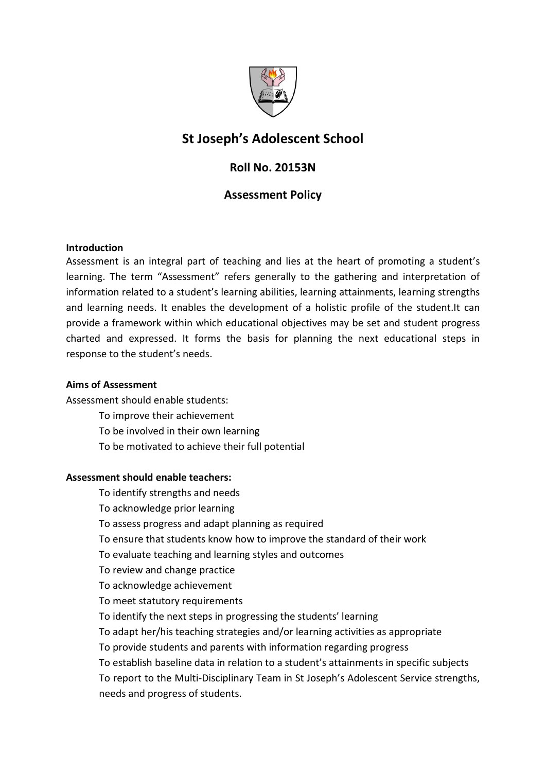

# St Joseph's Adolescent School

# Roll No. 20153N

# Assessment Policy

#### Introduction

Assessment is an integral part of teaching and lies at the heart of promoting a student's learning. The term "Assessment" refers generally to the gathering and interpretation of information related to a student's learning abilities, learning attainments, learning strengths and learning needs. It enables the development of a holistic profile of the student.It can provide a framework within which educational objectives may be set and student progress charted and expressed. It forms the basis for planning the next educational steps in response to the student's needs.

#### Aims of Assessment

Assessment should enable students:

- To improve their achievement
- To be involved in their own learning
- To be motivated to achieve their full potential

# Assessment should enable teachers:

- To identify strengths and needs
- To acknowledge prior learning
- To assess progress and adapt planning as required
- To ensure that students know how to improve the standard of their work
- To evaluate teaching and learning styles and outcomes
- To review and change practice
- To acknowledge achievement
- To meet statutory requirements
- To identify the next steps in progressing the students' learning
- To adapt her/his teaching strategies and/or learning activities as appropriate
- To provide students and parents with information regarding progress
- To establish baseline data in relation to a student's attainments in specific subjects To report to the Multi-Disciplinary Team in St Joseph's Adolescent Service strengths, needs and progress of students.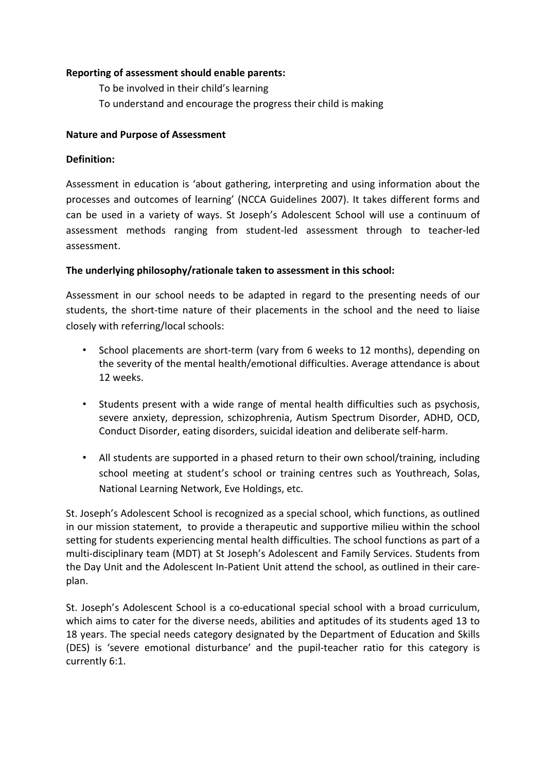#### Reporting of assessment should enable parents:

 To be involved in their child's learning To understand and encourage the progress their child is making

#### Nature and Purpose of Assessment

#### Definition:

Assessment in education is 'about gathering, interpreting and using information about the processes and outcomes of learning' (NCCA Guidelines 2007). It takes different forms and can be used in a variety of ways. St Joseph's Adolescent School will use a continuum of assessment methods ranging from student-led assessment through to teacher-led assessment.

#### The underlying philosophy/rationale taken to assessment in this school:

Assessment in our school needs to be adapted in regard to the presenting needs of our students, the short-time nature of their placements in the school and the need to liaise closely with referring/local schools:

- School placements are short-term (vary from 6 weeks to 12 months), depending on the severity of the mental health/emotional difficulties. Average attendance is about 12 weeks.
- Students present with a wide range of mental health difficulties such as psychosis, severe anxiety, depression, schizophrenia, Autism Spectrum Disorder, ADHD, OCD, Conduct Disorder, eating disorders, suicidal ideation and deliberate self-harm.
- All students are supported in a phased return to their own school/training, including school meeting at student's school or training centres such as Youthreach, Solas, National Learning Network, Eve Holdings, etc.

St. Joseph's Adolescent School is recognized as a special school, which functions, as outlined in our mission statement, to provide a therapeutic and supportive milieu within the school setting for students experiencing mental health difficulties. The school functions as part of a multi-disciplinary team (MDT) at St Joseph's Adolescent and Family Services. Students from the Day Unit and the Adolescent In-Patient Unit attend the school, as outlined in their careplan.

St. Joseph's Adolescent School is a co-educational special school with a broad curriculum, which aims to cater for the diverse needs, abilities and aptitudes of its students aged 13 to 18 years. The special needs category designated by the Department of Education and Skills (DES) is 'severe emotional disturbance' and the pupil-teacher ratio for this category is currently 6:1.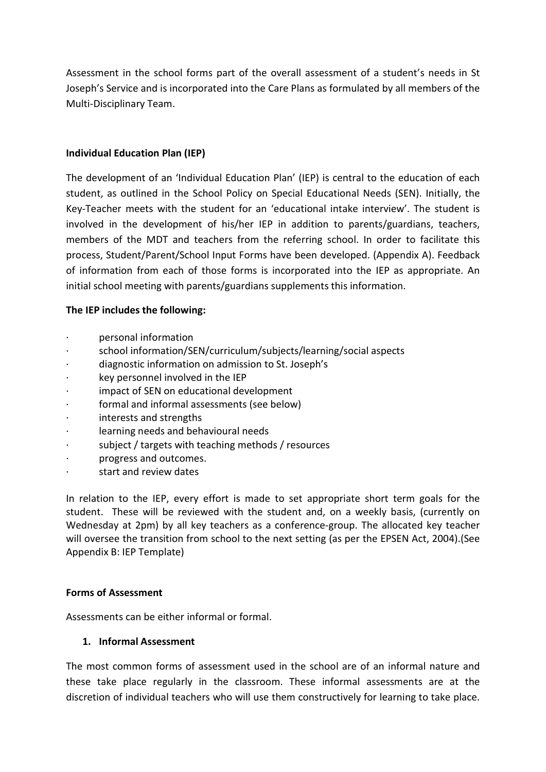Assessment in the school forms part of the overall assessment of a student's needs in St Joseph's Service and is incorporated into the Care Plans as formulated by all members of the Multi-Disciplinary Team.

# Individual Education Plan (IEP)

The development of an 'Individual Education Plan' (IEP) is central to the education of each student, as outlined in the School Policy on Special Educational Needs (SEN). Initially, the Key-Teacher meets with the student for an 'educational intake interview'. The student is involved in the development of his/her IEP in addition to parents/guardians, teachers, members of the MDT and teachers from the referring school. In order to facilitate this process, Student/Parent/School Input Forms have been developed. (Appendix A). Feedback of information from each of those forms is incorporated into the IEP as appropriate. An initial school meeting with parents/guardians supplements this information.

# The IEP includes the following:

- · personal information
- school information/SEN/curriculum/subjects/learning/social aspects
- · diagnostic information on admission to St. Joseph's
- key personnel involved in the IEP
- impact of SEN on educational development
- formal and informal assessments (see below)
- interests and strengths
- learning needs and behavioural needs
- subject / targets with teaching methods / resources
- · progress and outcomes.
- · start and review dates

In relation to the IEP, every effort is made to set appropriate short term goals for the student. These will be reviewed with the student and, on a weekly basis, (currently on Wednesday at 2pm) by all key teachers as a conference-group. The allocated key teacher will oversee the transition from school to the next setting (as per the EPSEN Act, 2004).(See Appendix B: IEP Template)

# Forms of Assessment

Assessments can be either informal or formal.

# 1. Informal Assessment

The most common forms of assessment used in the school are of an informal nature and these take place regularly in the classroom. These informal assessments are at the discretion of individual teachers who will use them constructively for learning to take place.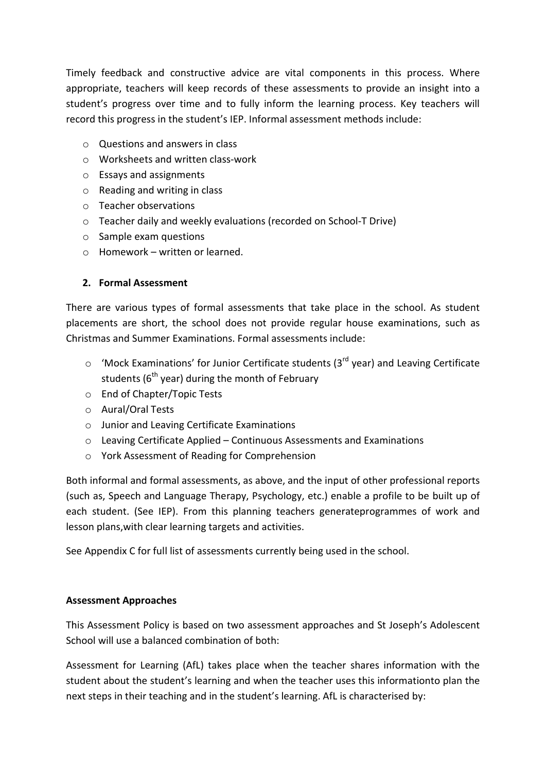Timely feedback and constructive advice are vital components in this process. Where appropriate, teachers will keep records of these assessments to provide an insight into a student's progress over time and to fully inform the learning process. Key teachers will record this progress in the student's IEP. Informal assessment methods include:

- $\circ$  Questions and answers in class
- o Worksheets and written class-work
- o Essays and assignments
- o Reading and writing in class
- o Teacher observations
- o Teacher daily and weekly evaluations (recorded on School-T Drive)
- o Sample exam questions
- $\circ$  Homework written or learned.

# 2. Formal Assessment

There are various types of formal assessments that take place in the school. As student placements are short, the school does not provide regular house examinations, such as Christmas and Summer Examinations. Formal assessments include:

- $\circ$  'Mock Examinations' for Junior Certificate students (3<sup>rd</sup> year) and Leaving Certificate students ( $6<sup>th</sup>$  year) during the month of February
- o End of Chapter/Topic Tests
- o Aural/Oral Tests
- o Junior and Leaving Certificate Examinations
- o Leaving Certificate Applied Continuous Assessments and Examinations
- o York Assessment of Reading for Comprehension

Both informal and formal assessments, as above, and the input of other professional reports (such as, Speech and Language Therapy, Psychology, etc.) enable a profile to be built up of each student. (See IEP). From this planning teachers generateprogrammes of work and lesson plans,with clear learning targets and activities.

See Appendix C for full list of assessments currently being used in the school.

# Assessment Approaches

This Assessment Policy is based on two assessment approaches and St Joseph's Adolescent School will use a balanced combination of both:

Assessment for Learning (AfL) takes place when the teacher shares information with the student about the student's learning and when the teacher uses this informationto plan the next steps in their teaching and in the student's learning. AfL is characterised by: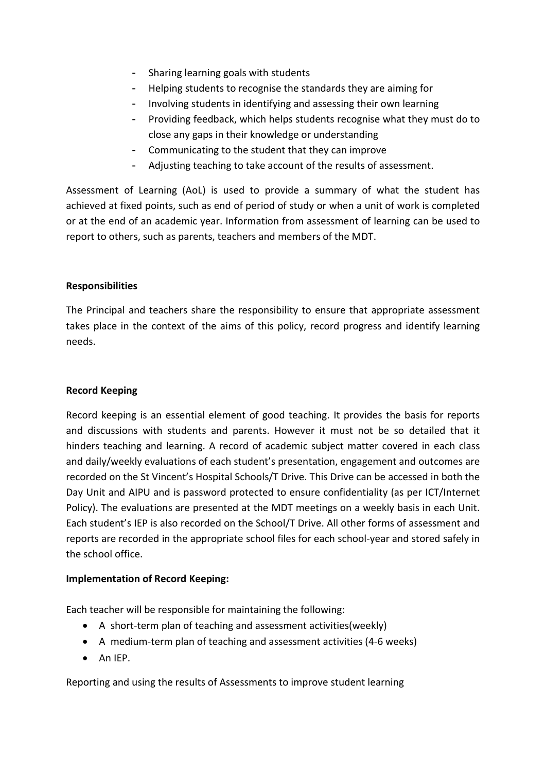- Sharing learning goals with students
- Helping students to recognise the standards they are aiming for
- Involving students in identifying and assessing their own learning
- Providing feedback, which helps students recognise what they must do to close any gaps in their knowledge or understanding
- Communicating to the student that they can improve
- Adjusting teaching to take account of the results of assessment.

Assessment of Learning (AoL) is used to provide a summary of what the student has achieved at fixed points, such as end of period of study or when a unit of work is completed or at the end of an academic year. Information from assessment of learning can be used to report to others, such as parents, teachers and members of the MDT.

#### Responsibilities

The Principal and teachers share the responsibility to ensure that appropriate assessment takes place in the context of the aims of this policy, record progress and identify learning needs.

#### Record Keeping

Record keeping is an essential element of good teaching. It provides the basis for reports and discussions with students and parents. However it must not be so detailed that it hinders teaching and learning. A record of academic subject matter covered in each class and daily/weekly evaluations of each student's presentation, engagement and outcomes are recorded on the St Vincent's Hospital Schools/T Drive. This Drive can be accessed in both the Day Unit and AIPU and is password protected to ensure confidentiality (as per ICT/Internet Policy). The evaluations are presented at the MDT meetings on a weekly basis in each Unit. Each student's IEP is also recorded on the School/T Drive. All other forms of assessment and reports are recorded in the appropriate school files for each school-year and stored safely in the school office.

#### Implementation of Record Keeping:

Each teacher will be responsible for maintaining the following:

- A short-term plan of teaching and assessment activities(weekly)
- A medium-term plan of teaching and assessment activities (4-6 weeks)
- $\bullet$  An IEP.

Reporting and using the results of Assessments to improve student learning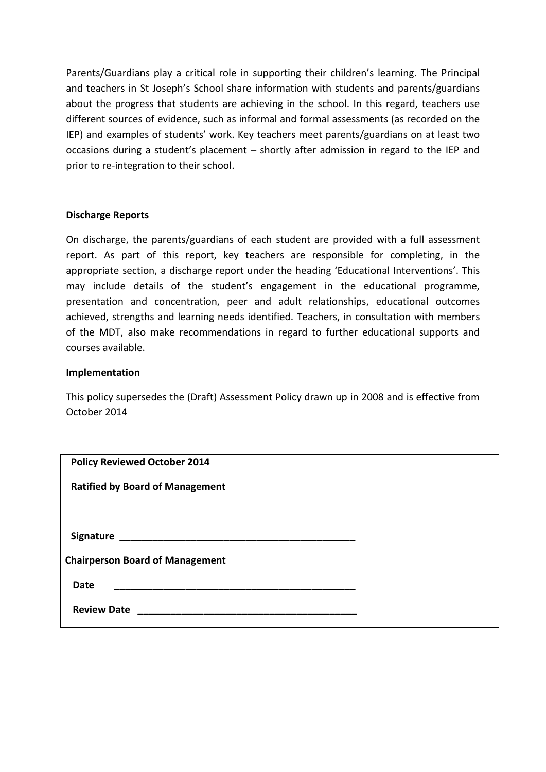Parents/Guardians play a critical role in supporting their children's learning. The Principal and teachers in St Joseph's School share information with students and parents/guardians about the progress that students are achieving in the school. In this regard, teachers use different sources of evidence, such as informal and formal assessments (as recorded on the IEP) and examples of students' work. Key teachers meet parents/guardians on at least two occasions during a student's placement – shortly after admission in regard to the IEP and prior to re-integration to their school.

#### Discharge Reports

On discharge, the parents/guardians of each student are provided with a full assessment report. As part of this report, key teachers are responsible for completing, in the appropriate section, a discharge report under the heading 'Educational Interventions'. This may include details of the student's engagement in the educational programme, presentation and concentration, peer and adult relationships, educational outcomes achieved, strengths and learning needs identified. Teachers, in consultation with members of the MDT, also make recommendations in regard to further educational supports and courses available.

#### Implementation

This policy supersedes the (Draft) Assessment Policy drawn up in 2008 and is effective from October 2014

| <b>Policy Reviewed October 2014</b>    |  |
|----------------------------------------|--|
| <b>Ratified by Board of Management</b> |  |
|                                        |  |
|                                        |  |
|                                        |  |
| <b>Chairperson Board of Management</b> |  |
| <b>Date</b>                            |  |
| <b>Review Date</b>                     |  |
|                                        |  |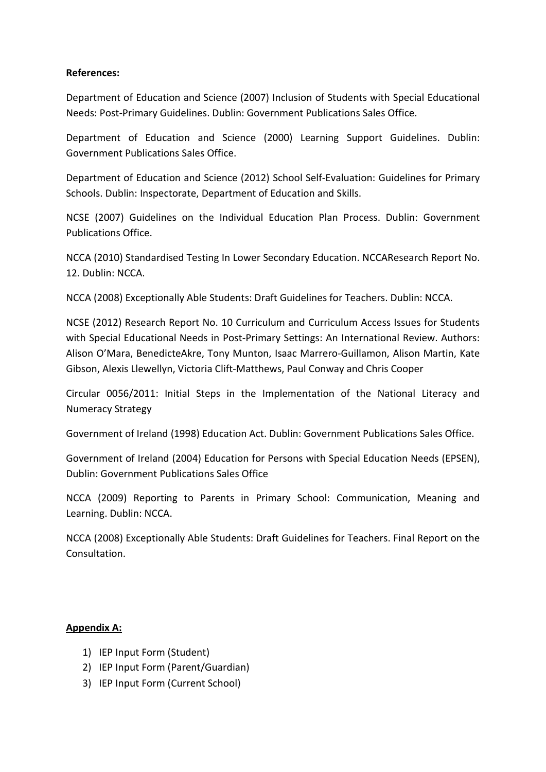#### References:

Department of Education and Science (2007) Inclusion of Students with Special Educational Needs: Post-Primary Guidelines. Dublin: Government Publications Sales Office.

Department of Education and Science (2000) Learning Support Guidelines. Dublin: Government Publications Sales Office.

Department of Education and Science (2012) School Self-Evaluation: Guidelines for Primary Schools. Dublin: Inspectorate, Department of Education and Skills.

NCSE (2007) Guidelines on the Individual Education Plan Process. Dublin: Government Publications Office.

NCCA (2010) Standardised Testing In Lower Secondary Education. NCCAResearch Report No. 12. Dublin: NCCA.

NCCA (2008) Exceptionally Able Students: Draft Guidelines for Teachers. Dublin: NCCA.

NCSE (2012) Research Report No. 10 Curriculum and Curriculum Access Issues for Students with Special Educational Needs in Post-Primary Settings: An International Review. Authors: Alison O'Mara, BenedicteAkre, Tony Munton, Isaac Marrero-Guillamon, Alison Martin, Kate Gibson, Alexis Llewellyn, Victoria Clift-Matthews, Paul Conway and Chris Cooper

Circular 0056/2011: Initial Steps in the Implementation of the National Literacy and Numeracy Strategy

Government of Ireland (1998) Education Act. Dublin: Government Publications Sales Office.

Government of Ireland (2004) Education for Persons with Special Education Needs (EPSEN), Dublin: Government Publications Sales Office

NCCA (2009) Reporting to Parents in Primary School: Communication, Meaning and Learning. Dublin: NCCA.

NCCA (2008) Exceptionally Able Students: Draft Guidelines for Teachers. Final Report on the Consultation.

# Appendix A:

- 1) IEP Input Form (Student)
- 2) IEP Input Form (Parent/Guardian)
- 3) IEP Input Form (Current School)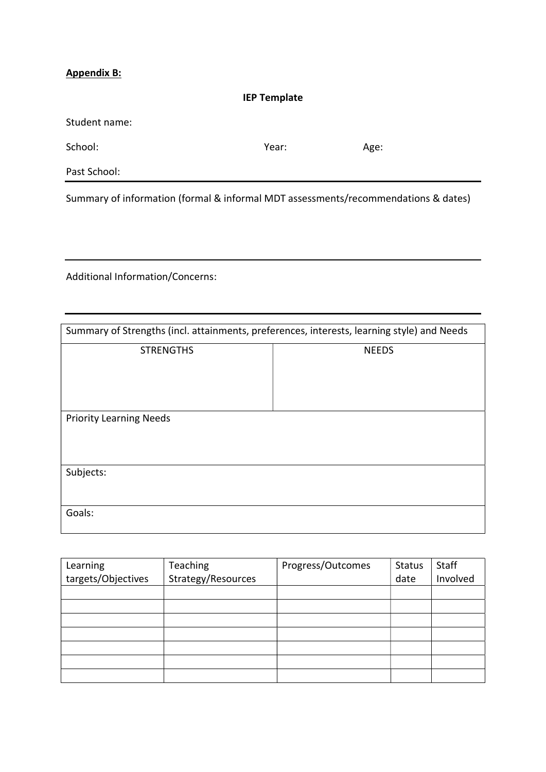# Appendix B:

| <b>IEP Template</b>                                                                |       |      |  |
|------------------------------------------------------------------------------------|-------|------|--|
| Student name:                                                                      |       |      |  |
| School:                                                                            | Year: | Age: |  |
| Past School:                                                                       |       |      |  |
| Summary of information (formal & informal MDT assessments/recommendations & dates) |       |      |  |

Additional Information/Concerns:

| Summary of Strengths (incl. attainments, preferences, interests, learning style) and Needs |              |
|--------------------------------------------------------------------------------------------|--------------|
| <b>STRENGTHS</b>                                                                           | <b>NEEDS</b> |
| <b>Priority Learning Needs</b>                                                             |              |
| Subjects:                                                                                  |              |
| Goals:                                                                                     |              |

| Learning           | <b>Teaching</b>    | Progress/Outcomes | <b>Status</b> | Staff    |
|--------------------|--------------------|-------------------|---------------|----------|
| targets/Objectives | Strategy/Resources |                   | date          | Involved |
|                    |                    |                   |               |          |
|                    |                    |                   |               |          |
|                    |                    |                   |               |          |
|                    |                    |                   |               |          |
|                    |                    |                   |               |          |
|                    |                    |                   |               |          |
|                    |                    |                   |               |          |